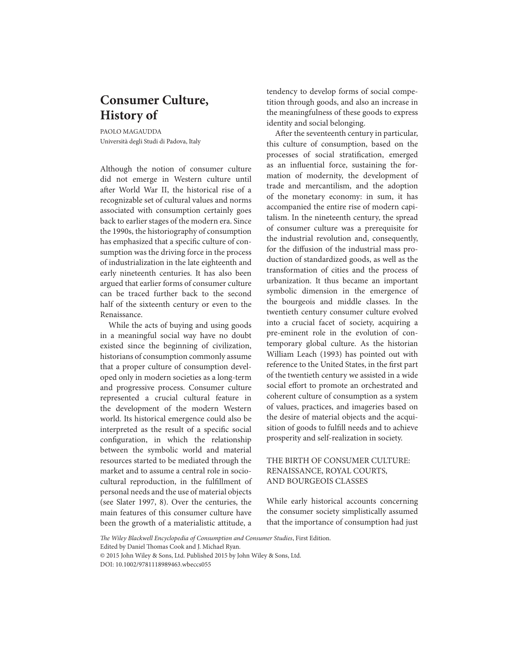# **Consumer Culture, History of**

PAOLO MAGAUDDA Università degli Studi di Padova, Italy

Although the notion of consumer culture did not emerge in Western culture until after World War II, the historical rise of a recognizable set of cultural values and norms associated with consumption certainly goes back to earlier stages of the modern era. Since the 1990s, the historiography of consumption has emphasized that a specific culture of consumption was the driving force in the process of industrialization in the late eighteenth and early nineteenth centuries. It has also been argued that earlier forms of consumer culture can be traced further back to the second half of the sixteenth century or even to the Renaissance.

While the acts of buying and using goods in a meaningful social way have no doubt existed since the beginning of civilization, historians of consumption commonly assume that a proper culture of consumption developed only in modern societies as a long-term and progressive process. Consumer culture represented a crucial cultural feature in the development of the modern Western world. Its historical emergence could also be interpreted as the result of a specific social configuration, in which the relationship between the symbolic world and material resources started to be mediated through the market and to assume a central role in sociocultural reproduction, in the fulfillment of personal needs and the use of material objects (see Slater 1997, 8). Over the centuries, the main features of this consumer culture have been the growth of a materialistic attitude, a tendency to develop forms of social competition through goods, and also an increase in the meaningfulness of these goods to express identity and social belonging.

After the seventeenth century in particular, this culture of consumption, based on the processes of social stratification, emerged as an influential force, sustaining the formation of modernity, the development of trade and mercantilism, and the adoption of the monetary economy: in sum, it has accompanied the entire rise of modern capitalism. In the nineteenth century, the spread of consumer culture was a prerequisite for the industrial revolution and, consequently, for the diffusion of the industrial mass production of standardized goods, as well as the transformation of cities and the process of urbanization. It thus became an important symbolic dimension in the emergence of the bourgeois and middle classes. In the twentieth century consumer culture evolved into a crucial facet of society, acquiring a pre-eminent role in the evolution of contemporary global culture. As the historian William Leach (1993) has pointed out with reference to the United States, in the first part of the twentieth century we assisted in a wide social effort to promote an orchestrated and coherent culture of consumption as a system of values, practices, and imageries based on the desire of material objects and the acquisition of goods to fulfill needs and to achieve prosperity and self-realization in society.

## THE BIRTH OF CONSUMER CULTURE: RENAISSANCE, ROYAL COURTS, AND BOURGEOIS CLASSES

While early historical accounts concerning the consumer society simplistically assumed that the importance of consumption had just

*The Wiley Blackwell Encyclopedia of Consumption and Consumer Studies*, First Edition.

Edited by Daniel Thomas Cook and J. Michael Ryan.

<sup>© 2015</sup> John Wiley & Sons, Ltd. Published 2015 by John Wiley & Sons, Ltd.

DOI: 10.1002/9781118989463.wbeccs055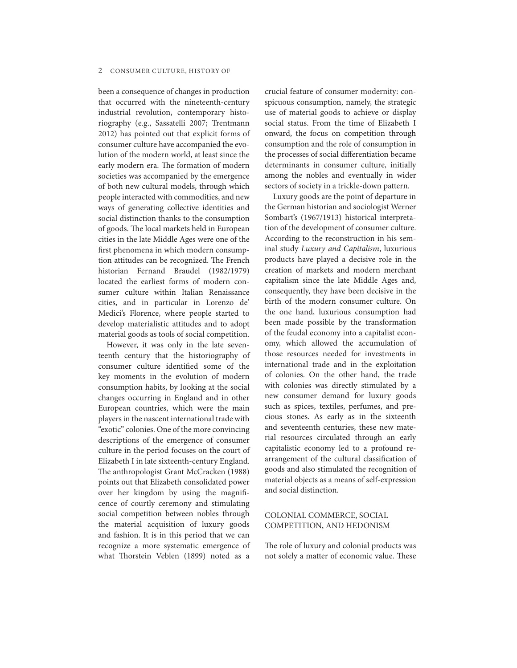been a consequence of changes in production that occurred with the nineteenth-century industrial revolution, contemporary historiography (e.g., Sassatelli 2007; Trentmann 2012) has pointed out that explicit forms of consumer culture have accompanied the evolution of the modern world, at least since the early modern era. The formation of modern societies was accompanied by the emergence of both new cultural models, through which people interacted with commodities, and new ways of generating collective identities and social distinction thanks to the consumption of goods. The local markets held in European cities in the late Middle Ages were one of the first phenomena in which modern consumption attitudes can be recognized. The French historian Fernand Braudel (1982/1979) located the earliest forms of modern consumer culture within Italian Renaissance cities, and in particular in Lorenzo de' Medici's Florence, where people started to develop materialistic attitudes and to adopt material goods as tools of social competition.

However, it was only in the late seventeenth century that the historiography of consumer culture identified some of the key moments in the evolution of modern consumption habits, by looking at the social changes occurring in England and in other European countries, which were the main players in the nascent international trade with "exotic" colonies. One of the more convincing descriptions of the emergence of consumer culture in the period focuses on the court of Elizabeth I in late sixteenth-century England. The anthropologist Grant McCracken (1988) points out that Elizabeth consolidated power over her kingdom by using the magnificence of courtly ceremony and stimulating social competition between nobles through the material acquisition of luxury goods and fashion. It is in this period that we can recognize a more systematic emergence of what Thorstein Veblen (1899) noted as a crucial feature of consumer modernity: conspicuous consumption, namely, the strategic use of material goods to achieve or display social status. From the time of Elizabeth I onward, the focus on competition through consumption and the role of consumption in the processes of social differentiation became determinants in consumer culture, initially among the nobles and eventually in wider sectors of society in a trickle-down pattern.

Luxury goods are the point of departure in the German historian and sociologist Werner Sombart's (1967/1913) historical interpretation of the development of consumer culture. According to the reconstruction in his seminal study *Luxury and Capitalism*, luxurious products have played a decisive role in the creation of markets and modern merchant capitalism since the late Middle Ages and, consequently, they have been decisive in the birth of the modern consumer culture. On the one hand, luxurious consumption had been made possible by the transformation of the feudal economy into a capitalist economy, which allowed the accumulation of those resources needed for investments in international trade and in the exploitation of colonies. On the other hand, the trade with colonies was directly stimulated by a new consumer demand for luxury goods such as spices, textiles, perfumes, and precious stones. As early as in the sixteenth and seventeenth centuries, these new material resources circulated through an early capitalistic economy led to a profound rearrangement of the cultural classification of goods and also stimulated the recognition of material objects as a means of self-expression and social distinction.

## COLONIAL COMMERCE, SOCIAL COMPETITION, AND HEDONISM

The role of luxury and colonial products was not solely a matter of economic value. These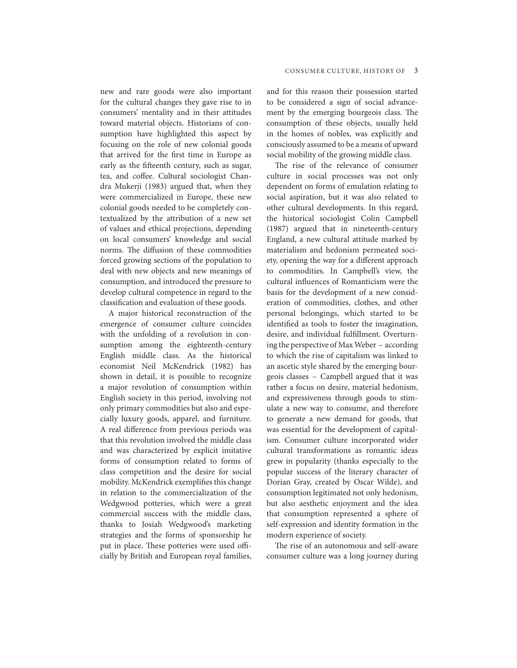new and rare goods were also important for the cultural changes they gave rise to in consumers' mentality and in their attitudes toward material objects. Historians of consumption have highlighted this aspect by focusing on the role of new colonial goods that arrived for the first time in Europe as early as the fifteenth century, such as sugar, tea, and coffee. Cultural sociologist Chandra Mukerji (1983) argued that, when they were commercialized in Europe, these new colonial goods needed to be completely contextualized by the attribution of a new set of values and ethical projections, depending on local consumers' knowledge and social norms. The diffusion of these commodities forced growing sections of the population to deal with new objects and new meanings of consumption, and introduced the pressure to develop cultural competence in regard to the classification and evaluation of these goods.

A major historical reconstruction of the emergence of consumer culture coincides with the unfolding of a revolution in consumption among the eighteenth-century English middle class. As the historical economist Neil McKendrick (1982) has shown in detail, it is possible to recognize a major revolution of consumption within English society in this period, involving not only primary commodities but also and especially luxury goods, apparel, and furniture. A real difference from previous periods was that this revolution involved the middle class and was characterized by explicit imitative forms of consumption related to forms of class competition and the desire for social mobility. McKendrick exemplifies this change in relation to the commercialization of the Wedgwood potteries, which were a great commercial success with the middle class, thanks to Josiah Wedgwood's marketing strategies and the forms of sponsorship he put in place. These potteries were used officially by British and European royal families,

and for this reason their possession started to be considered a sign of social advancement by the emerging bourgeois class. The consumption of these objects, usually held in the homes of nobles, was explicitly and consciously assumed to be a means of upward social mobility of the growing middle class.

The rise of the relevance of consumer culture in social processes was not only dependent on forms of emulation relating to social aspiration, but it was also related to other cultural developments. In this regard, the historical sociologist Colin Campbell (1987) argued that in nineteenth-century England, a new cultural attitude marked by materialism and hedonism permeated society, opening the way for a different approach to commodities. In Campbell's view, the cultural influences of Romanticism were the basis for the development of a new consideration of commodities, clothes, and other personal belongings, which started to be identified as tools to foster the imagination, desire, and individual fulfillment. Overturning the perspective of MaxWeber – according to which the rise of capitalism was linked to an ascetic style shared by the emerging bourgeois classes – Campbell argued that it was rather a focus on desire, material hedonism, and expressiveness through goods to stimulate a new way to consume, and therefore to generate a new demand for goods, that was essential for the development of capitalism. Consumer culture incorporated wider cultural transformations as romantic ideas grew in popularity (thanks especially to the popular success of the literary character of Dorian Gray, created by Oscar Wilde), and consumption legitimated not only hedonism, but also aesthetic enjoyment and the idea that consumption represented a sphere of self-expression and identity formation in the modern experience of society.

The rise of an autonomous and self-aware consumer culture was a long journey during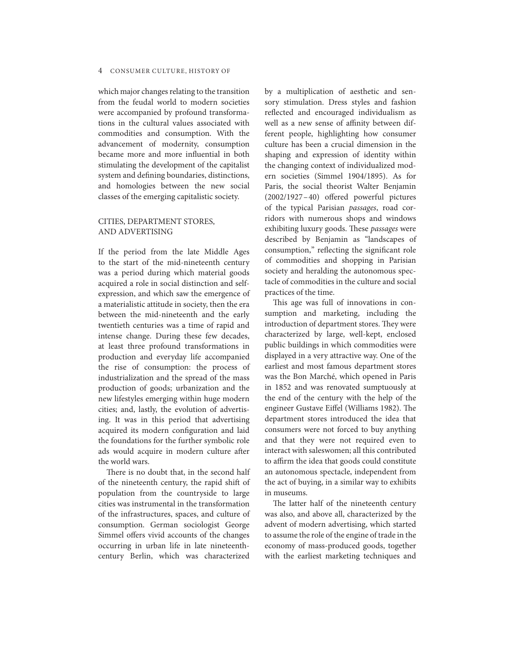which major changes relating to the transition from the feudal world to modern societies were accompanied by profound transformations in the cultural values associated with commodities and consumption. With the advancement of modernity, consumption became more and more influential in both stimulating the development of the capitalist system and defining boundaries, distinctions, and homologies between the new social classes of the emerging capitalistic society.

## CITIES, DEPARTMENT STORES, AND ADVERTISING

If the period from the late Middle Ages to the start of the mid-nineteenth century was a period during which material goods acquired a role in social distinction and selfexpression, and which saw the emergence of a materialistic attitude in society, then the era between the mid-nineteenth and the early twentieth centuries was a time of rapid and intense change. During these few decades, at least three profound transformations in production and everyday life accompanied the rise of consumption: the process of industrialization and the spread of the mass production of goods; urbanization and the new lifestyles emerging within huge modern cities; and, lastly, the evolution of advertising. It was in this period that advertising acquired its modern configuration and laid the foundations for the further symbolic role ads would acquire in modern culture after the world wars.

There is no doubt that, in the second half of the nineteenth century, the rapid shift of population from the countryside to large cities was instrumental in the transformation of the infrastructures, spaces, and culture of consumption. German sociologist George Simmel offers vivid accounts of the changes occurring in urban life in late nineteenthcentury Berlin, which was characterized

by a multiplication of aesthetic and sensory stimulation. Dress styles and fashion reflected and encouraged individualism as well as a new sense of affinity between different people, highlighting how consumer culture has been a crucial dimension in the shaping and expression of identity within the changing context of individualized modern societies (Simmel 1904/1895). As for Paris, the social theorist Walter Benjamin (2002/1927–40) offered powerful pictures of the typical Parisian *passages*, road corridors with numerous shops and windows exhibiting luxury goods. These *passages* were described by Benjamin as "landscapes of consumption," reflecting the significant role of commodities and shopping in Parisian society and heralding the autonomous spectacle of commodities in the culture and social practices of the time.

This age was full of innovations in consumption and marketing, including the introduction of department stores. They were characterized by large, well-kept, enclosed public buildings in which commodities were displayed in a very attractive way. One of the earliest and most famous department stores was the Bon Marché, which opened in Paris in 1852 and was renovated sumptuously at the end of the century with the help of the engineer Gustave Eiffel (Williams 1982). The department stores introduced the idea that consumers were not forced to buy anything and that they were not required even to interact with saleswomen; all this contributed to affirm the idea that goods could constitute an autonomous spectacle, independent from the act of buying, in a similar way to exhibits in museums.

The latter half of the nineteenth century was also, and above all, characterized by the advent of modern advertising, which started to assume the role of the engine of trade in the economy of mass-produced goods, together with the earliest marketing techniques and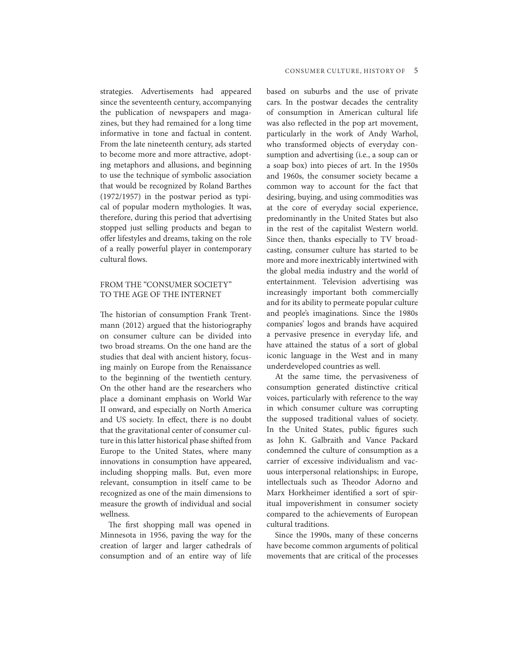strategies. Advertisements had appeared since the seventeenth century, accompanying the publication of newspapers and magazines, but they had remained for a long time informative in tone and factual in content. From the late nineteenth century, ads started to become more and more attractive, adopting metaphors and allusions, and beginning to use the technique of symbolic association that would be recognized by Roland Barthes (1972/1957) in the postwar period as typical of popular modern mythologies. It was, therefore, during this period that advertising stopped just selling products and began to offer lifestyles and dreams, taking on the role of a really powerful player in contemporary cultural flows.

## FROM THE "CONSUMER SOCIETY" TO THE AGE OF THE INTERNET

The historian of consumption Frank Trentmann (2012) argued that the historiography on consumer culture can be divided into two broad streams. On the one hand are the studies that deal with ancient history, focusing mainly on Europe from the Renaissance to the beginning of the twentieth century. On the other hand are the researchers who place a dominant emphasis on World War II onward, and especially on North America and US society. In effect, there is no doubt that the gravitational center of consumer culture in this latter historical phase shifted from Europe to the United States, where many innovations in consumption have appeared, including shopping malls. But, even more relevant, consumption in itself came to be recognized as one of the main dimensions to measure the growth of individual and social wellness.

The first shopping mall was opened in Minnesota in 1956, paving the way for the creation of larger and larger cathedrals of consumption and of an entire way of life based on suburbs and the use of private cars. In the postwar decades the centrality of consumption in American cultural life was also reflected in the pop art movement, particularly in the work of Andy Warhol, who transformed objects of everyday consumption and advertising (i.e., a soup can or a soap box) into pieces of art. In the 1950s and 1960s, the consumer society became a common way to account for the fact that desiring, buying, and using commodities was at the core of everyday social experience, predominantly in the United States but also in the rest of the capitalist Western world. Since then, thanks especially to TV broadcasting, consumer culture has started to be more and more inextricably intertwined with the global media industry and the world of entertainment. Television advertising was increasingly important both commercially and for its ability to permeate popular culture and people's imaginations. Since the 1980s companies' logos and brands have acquired a pervasive presence in everyday life, and have attained the status of a sort of global iconic language in the West and in many underdeveloped countries as well.

At the same time, the pervasiveness of consumption generated distinctive critical voices, particularly with reference to the way in which consumer culture was corrupting the supposed traditional values of society. In the United States, public figures such as John K. Galbraith and Vance Packard condemned the culture of consumption as a carrier of excessive individualism and vacuous interpersonal relationships; in Europe, intellectuals such as Theodor Adorno and Marx Horkheimer identified a sort of spiritual impoverishment in consumer society compared to the achievements of European cultural traditions.

Since the 1990s, many of these concerns have become common arguments of political movements that are critical of the processes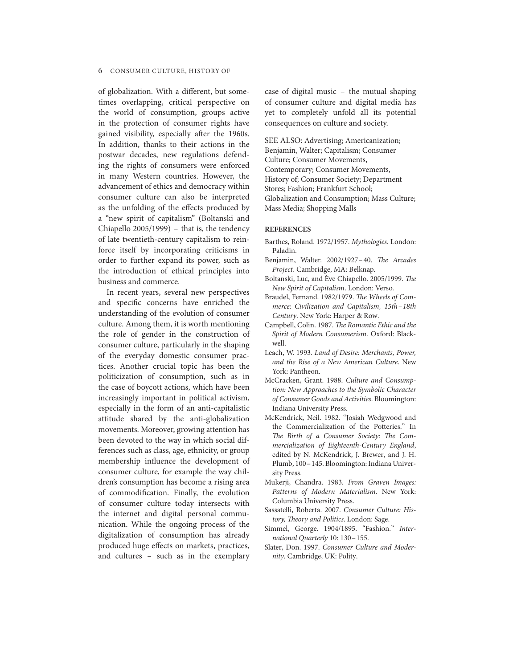of globalization. With a different, but sometimes overlapping, critical perspective on the world of consumption, groups active in the protection of consumer rights have gained visibility, especially after the 1960s. In addition, thanks to their actions in the postwar decades, new regulations defending the rights of consumers were enforced in many Western countries. However, the advancement of ethics and democracy within consumer culture can also be interpreted as the unfolding of the effects produced by a "new spirit of capitalism" (Boltanski and Chiapello 2005/1999) – that is, the tendency of late twentieth-century capitalism to reinforce itself by incorporating criticisms in order to further expand its power, such as the introduction of ethical principles into business and commerce.

In recent years, several new perspectives and specific concerns have enriched the understanding of the evolution of consumer culture. Among them, it is worth mentioning the role of gender in the construction of consumer culture, particularly in the shaping of the everyday domestic consumer practices. Another crucial topic has been the politicization of consumption, such as in the case of boycott actions, which have been increasingly important in political activism, especially in the form of an anti-capitalistic attitude shared by the anti-globalization movements. Moreover, growing attention has been devoted to the way in which social differences such as class, age, ethnicity, or group membership influence the development of consumer culture, for example the way children's consumption has become a rising area of commodification. Finally, the evolution of consumer culture today intersects with the internet and digital personal communication. While the ongoing process of the digitalization of consumption has already produced huge effects on markets, practices, and cultures – such as in the exemplary

case of digital music – the mutual shaping of consumer culture and digital media has yet to completely unfold all its potential consequences on culture and society.

SEE ALSO: Advertising; Americanization; Benjamin, Walter; Capitalism; Consumer Culture; Consumer Movements, Contemporary; Consumer Movements, History of; Consumer Society; Department Stores; Fashion; Frankfurt School; Globalization and Consumption; Mass Culture; Mass Media; Shopping Malls

#### **REFERENCES**

- Barthes, Roland. 1972/1957. *Mythologies.* London: Paladin.
- Benjamin, Walter. 2002/1927–40. *The Arcades Project*. Cambridge, MA: Belknap.
- Boltanski, Luc, and Ève Chiapello. 2005/1999. *The New Spirit of Capitalism*. London: Verso.
- Braudel, Fernand. 1982/1979. *The Wheels of Commerce: Civilization and Capitalism, 15th–18th Century*. New York: Harper & Row.
- Campbell, Colin. 1987. *The Romantic Ethic and the Spirit of Modern Consumerism*. Oxford: Blackwell.
- Leach, W. 1993. *Land of Desire: Merchants, Power, and the Rise of a New American Culture*. New York: Pantheon.
- McCracken, Grant. 1988. *Culture and Consumption: New Approaches to the Symbolic Character of Consumer Goods and Activities*. Bloomington: Indiana University Press.
- McKendrick, Neil. 1982. "Josiah Wedgwood and the Commercialization of the Potteries." In *The Birth of a Consumer Society: The Commercialization of Eighteenth-Century England*, edited by N. McKendrick, J. Brewer, and J. H. Plumb, 100–145. Bloomington: Indiana University Press.
- Mukerji, Chandra. 1983. *From Graven Images: Patterns of Modern Materialism*. New York: Columbia University Press.
- Sassatelli, Roberta. 2007. *Consumer Culture: History, Theory and Politics*. London: Sage.
- Simmel, George. 1904/1895. "Fashion." *International Quarterly* 10: 130–155.
- Slater, Don. 1997. *Consumer Culture and Modernity*. Cambridge, UK: Polity.